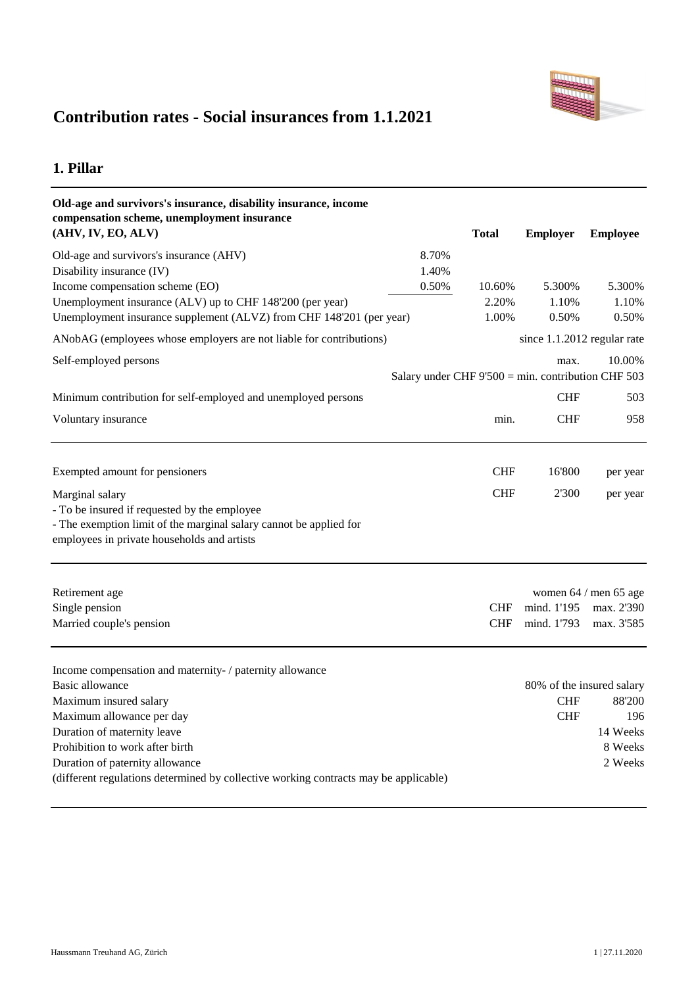

# **Contribution rates - Social insurances from 1.1.2021**

## **1. Pillar**

| Old-age and survivors's insurance, disability insurance, income                      |       |              |                                                       |                                     |
|--------------------------------------------------------------------------------------|-------|--------------|-------------------------------------------------------|-------------------------------------|
| compensation scheme, unemployment insurance<br>(AHV, IV, EO, ALV)                    |       | <b>Total</b> | <b>Employer</b>                                       | <b>Employee</b>                     |
| Old-age and survivors's insurance (AHV)                                              | 8.70% |              |                                                       |                                     |
| Disability insurance (IV)                                                            | 1.40% |              |                                                       |                                     |
| Income compensation scheme (EO)                                                      | 0.50% | 10.60%       | 5.300%                                                | 5.300%                              |
| Unemployment insurance (ALV) up to CHF 148'200 (per year)                            |       | 2.20%        | 1.10%                                                 | 1.10%                               |
| Unemployment insurance supplement (ALVZ) from CHF 148'201 (per year)                 |       | 1.00%        | 0.50%                                                 | 0.50%                               |
| ANobAG (employees whose employers are not liable for contributions)                  |       |              | since 1.1.2012 regular rate                           |                                     |
| Self-employed persons                                                                |       |              | max.                                                  | 10.00%                              |
|                                                                                      |       |              | Salary under CHF $9'500 = min$ . contribution CHF 503 |                                     |
| Minimum contribution for self-employed and unemployed persons                        |       |              | <b>CHF</b>                                            | 503                                 |
| Voluntary insurance                                                                  |       | min.         | <b>CHF</b>                                            | 958                                 |
|                                                                                      |       |              |                                                       |                                     |
| Exempted amount for pensioners                                                       |       | <b>CHF</b>   | 16'800                                                | per year                            |
| Marginal salary                                                                      |       | <b>CHF</b>   | 2'300                                                 | per year                            |
| - To be insured if requested by the employee                                         |       |              |                                                       |                                     |
| - The exemption limit of the marginal salary cannot be applied for                   |       |              |                                                       |                                     |
| employees in private households and artists                                          |       |              |                                                       |                                     |
| Retirement age                                                                       |       |              |                                                       | women 64 / men 65 age               |
| Single pension                                                                       |       | <b>CHF</b>   | mind. 1'195                                           | max. 2'390                          |
| Married couple's pension                                                             |       | <b>CHF</b>   | mind. 1'793                                           | max. 3'585                          |
|                                                                                      |       |              |                                                       |                                     |
| Income compensation and maternity- / paternity allowance                             |       |              |                                                       |                                     |
| Basic allowance                                                                      |       |              | <b>CHF</b>                                            | 80% of the insured salary<br>88'200 |
| Maximum insured salary<br>Maximum allowance per day                                  |       |              | <b>CHF</b>                                            | 196                                 |
| Duration of maternity leave                                                          |       |              |                                                       | 14 Weeks                            |
| Prohibition to work after birth                                                      |       |              |                                                       | 8 Weeks                             |
| Duration of paternity allowance                                                      |       |              |                                                       | 2 Weeks                             |
| (different regulations determined by collective working contracts may be applicable) |       |              |                                                       |                                     |
|                                                                                      |       |              |                                                       |                                     |